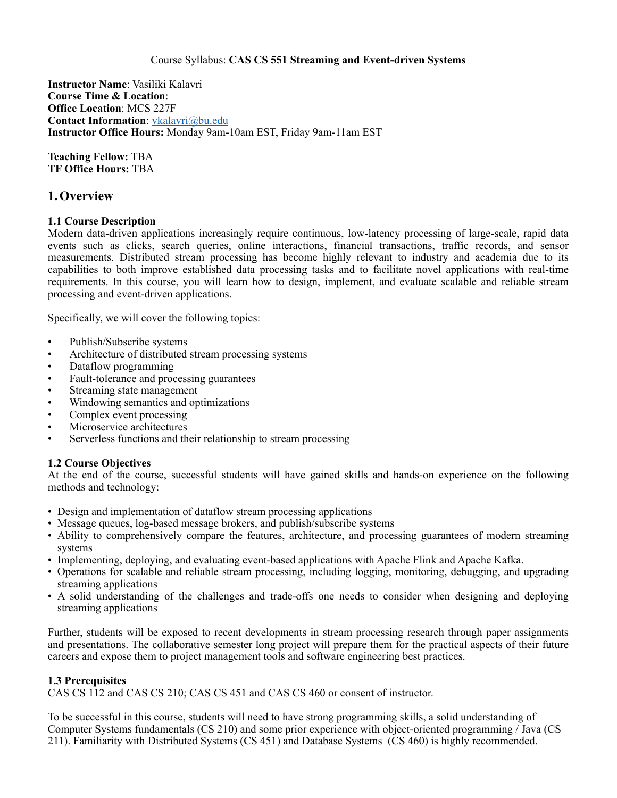#### Course Syllabus: **CAS CS 551 Streaming and Event-driven Systems**

**Instructor Name**: Vasiliki Kalavri **Course Time & Location**: **Office Location**: MCS 227F **Contact Information**: [vkalavri@bu.edu](mailto:vkalavri@bu.edu) **Instructor Office Hours:** Monday 9am-10am EST, Friday 9am-11am EST

**Teaching Fellow:** TBA **TF Office Hours:** TBA

## **1.Overview**

## **1.1 Course Description**

Modern data-driven applications increasingly require continuous, low-latency processing of large-scale, rapid data events such as clicks, search queries, online interactions, financial transactions, traffic records, and sensor measurements. Distributed stream processing has become highly relevant to industry and academia due to its capabilities to both improve established data processing tasks and to facilitate novel applications with real-time requirements. In this course, you will learn how to design, implement, and evaluate scalable and reliable stream processing and event-driven applications.

Specifically, we will cover the following topics:

- Publish/Subscribe systems
- Architecture of distributed stream processing systems
- Dataflow programming
- Fault-tolerance and processing guarantees
- Streaming state management
- Windowing semantics and optimizations
- Complex event processing
- Microservice architectures
- Serverless functions and their relationship to stream processing

## **1.2 Course Objectives**

At the end of the course, successful students will have gained skills and hands-on experience on the following methods and technology:

- Design and implementation of dataflow stream processing applications
- Message queues, log-based message brokers, and publish/subscribe systems
- Ability to comprehensively compare the features, architecture, and processing guarantees of modern streaming systems
- Implementing, deploying, and evaluating event-based applications with Apache Flink and Apache Kafka.
- Operations for scalable and reliable stream processing, including logging, monitoring, debugging, and upgrading streaming applications
- A solid understanding of the challenges and trade-offs one needs to consider when designing and deploying streaming applications

Further, students will be exposed to recent developments in stream processing research through paper assignments and presentations. The collaborative semester long project will prepare them for the practical aspects of their future careers and expose them to project management tools and software engineering best practices.

## **1.3 Prerequisites**

CAS CS 112 and CAS CS 210; CAS CS 451 and CAS CS 460 or consent of instructor.

To be successful in this course, students will need to have strong programming skills, a solid understanding of Computer Systems fundamentals (CS 210) and some prior experience with object-oriented programming / Java (CS 211). Familiarity with Distributed Systems (CS 451) and Database Systems (CS 460) is highly recommended.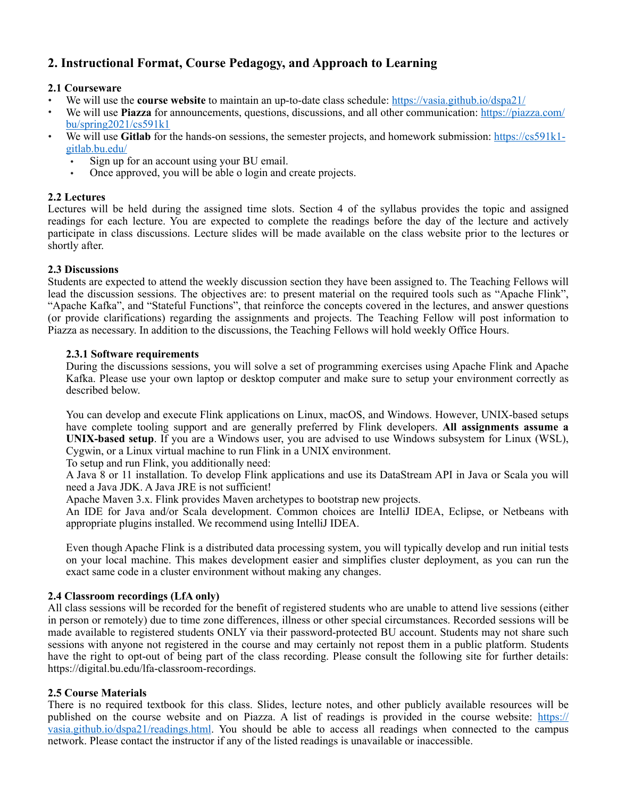## **2. Instructional Format, Course Pedagogy, and Approach to Learning**

## **2.1 Courseware**

- We will use the **course website** to maintain an up-to-date class schedule:<https://vasia.github.io/dspa21/>
- We will use **Piazza** for announcements, questions, discussions, and all other communication: [https://piazza.com/](https://piazza.com/bu/spring2021/cs591k1) [bu/spring2021/cs591k1](https://piazza.com/bu/spring2021/cs591k1)
- We will use **Gitlab** for the hands-on sessions, the semester projects, and homework submission: [https://cs591k1](https://cs591k1-gitlab.bu.edu/) [gitlab.bu.edu/](https://cs591k1-gitlab.bu.edu/) 
	- Sign up for an account using your BU email.<br>• Once approved, you will be able o login and
	- Once approved, you will be able o login and create projects.

## **2.2 Lectures**

Lectures will be held during the assigned time slots. Section 4 of the syllabus provides the topic and assigned readings for each lecture. You are expected to complete the readings before the day of the lecture and actively participate in class discussions. Lecture slides will be made available on the class website prior to the lectures or shortly after.

## **2.3 Discussions**

Students are expected to attend the weekly discussion section they have been assigned to. The Teaching Fellows will lead the discussion sessions. The objectives are: to present material on the required tools such as "Apache Flink", "Apache Kafka", and "Stateful Functions", that reinforce the concepts covered in the lectures, and answer questions (or provide clarifications) regarding the assignments and projects. The Teaching Fellow will post information to Piazza as necessary. In addition to the discussions, the Teaching Fellows will hold weekly Office Hours.

## **2.3.1 Software requirements**

During the discussions sessions, you will solve a set of programming exercises using Apache Flink and Apache Kafka. Please use your own laptop or desktop computer and make sure to setup your environment correctly as described below.

You can develop and execute Flink applications on Linux, macOS, and Windows. However, UNIX-based setups have complete tooling support and are generally preferred by Flink developers. **All assignments assume a UNIX-based setup**. If you are a Windows user, you are advised to use Windows subsystem for Linux (WSL), Cygwin, or a Linux virtual machine to run Flink in a UNIX environment.

To setup and run Flink, you additionally need:

A Java 8 or 11 installation. To develop Flink applications and use its DataStream API in Java or Scala you will need a Java JDK. A Java JRE is not sufficient!

Apache Maven 3.x. Flink provides Maven archetypes to bootstrap new projects.

An IDE for Java and/or Scala development. Common choices are IntelliJ IDEA, Eclipse, or Netbeans with appropriate plugins installed. We recommend using IntelliJ IDEA.

Even though Apache Flink is a distributed data processing system, you will typically develop and run initial tests on your local machine. This makes development easier and simplifies cluster deployment, as you can run the exact same code in a cluster environment without making any changes.

## **2.4 Classroom recordings (LfA only)**

All class sessions will be recorded for the benefit of registered students who are unable to attend live sessions (either in person or remotely) due to time zone differences, illness or other special circumstances. Recorded sessions will be made available to registered students ONLY via their password-protected BU account. Students may not share such sessions with anyone not registered in the course and may certainly not repost them in a public platform. Students have the right to opt-out of being part of the class recording. Please consult the following site for further details: https://digital.bu.edu/lfa-classroom-recordings.

## **2.5 Course Materials**

There is no required textbook for this class. Slides, lecture notes, and other publicly available resources will be published on the course website and on Piazza. A list of readings is provided in the course website: [https://](https://vasia.github.io/dspa21/readings.html) [vasia.github.io/dspa21/readings.html.](https://vasia.github.io/dspa21/readings.html) You should be able to access all readings when connected to the campus network. Please contact the instructor if any of the listed readings is unavailable or inaccessible.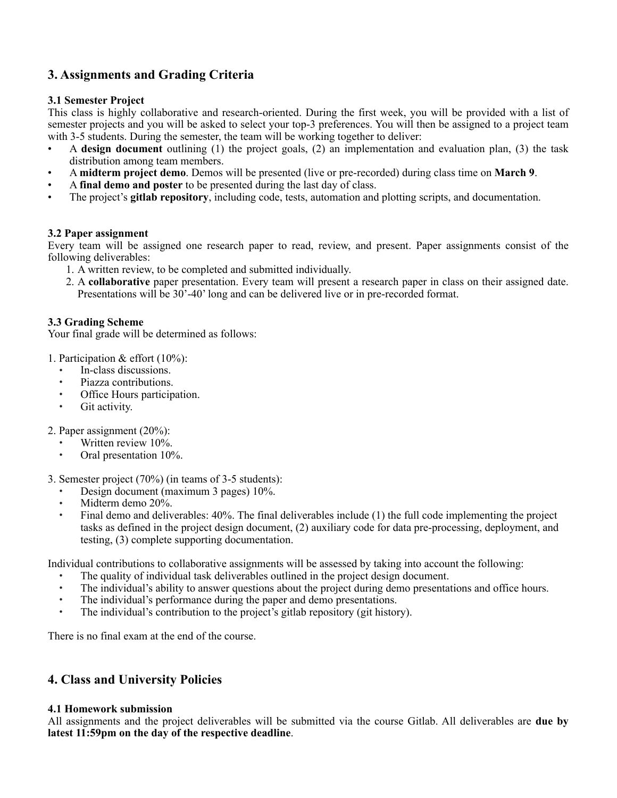## **3. Assignments and Grading Criteria**

## **3.1 Semester Project**

This class is highly collaborative and research-oriented. During the first week, you will be provided with a list of semester projects and you will be asked to select your top-3 preferences. You will then be assigned to a project team with 3-5 students. During the semester, the team will be working together to deliver:

- A **design document** outlining (1) the project goals, (2) an implementation and evaluation plan, (3) the task distribution among team members.
- A **midterm project demo**. Demos will be presented (live or pre-recorded) during class time on **March 9**.
- A **final demo and poster** to be presented during the last day of class.
- The project's **gitlab repository**, including code, tests, automation and plotting scripts, and documentation.

## **3.2 Paper assignment**

Every team will be assigned one research paper to read, review, and present. Paper assignments consist of the following deliverables:

- 1. A written review, to be completed and submitted individually.
- 2. A **collaborative** paper presentation. Every team will present a research paper in class on their assigned date. Presentations will be 30'-40' long and can be delivered live or in pre-recorded format.

## **3.3 Grading Scheme**

Your final grade will be determined as follows:

1. Participation & effort (10%):

- In-class discussions.
- Piazza contributions.
- Office Hours participation.
- Git activity.
- 2. Paper assignment (20%):
	- Written review 10%.
	- Oral presentation 10%.
- 3. Semester project (70%) (in teams of 3-5 students):
	- Design document (maximum 3 pages) 10%.
	- Midterm demo 20%.
	- Final demo and deliverables: 40%. The final deliverables include (1) the full code implementing the project tasks as defined in the project design document, (2) auxiliary code for data pre-processing, deployment, and testing, (3) complete supporting documentation.

Individual contributions to collaborative assignments will be assessed by taking into account the following:

- The quality of individual task deliverables outlined in the project design document.
- The individual's ability to answer questions about the project during demo presentations and office hours.
- The individual's performance during the paper and demo presentations.
- The individual's contribution to the project's gitlab repository (git history).

There is no final exam at the end of the course.

## **4. Class and University Policies**

## **4.1 Homework submission**

All assignments and the project deliverables will be submitted via the course Gitlab. All deliverables are **due by latest 11:59pm on the day of the respective deadline**.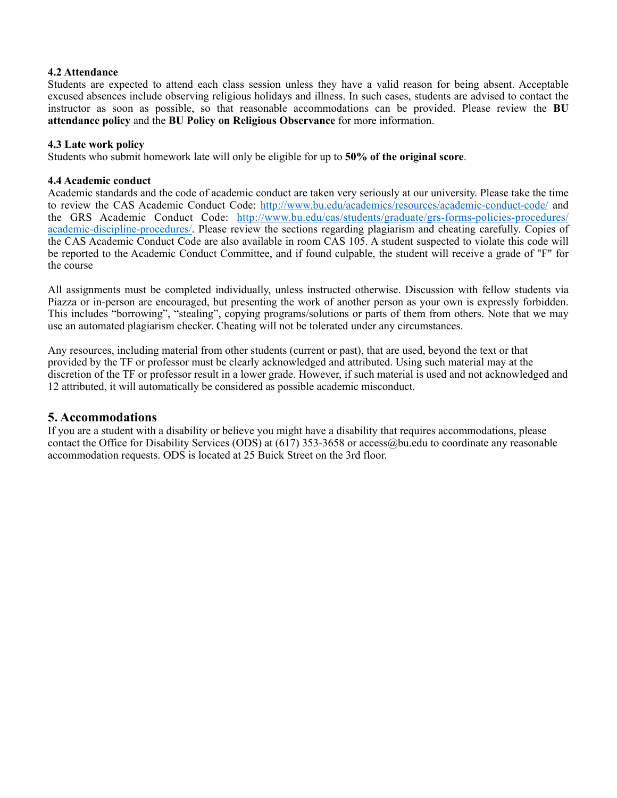#### **4.2 Attendance**

Students are expected to attend each class session unless they have a valid reason for being absent. Acceptable excused absences include observing religious holidays and illness. In such cases, students are advised to contact the instructor as soon as possible, so that reasonable accommodations can be provided. Please review the **[BU](https://www.bu.edu/academics/policies/attendance/) [attendance policy](https://www.bu.edu/academics/policies/attendance/)** and the **[BU Policy on Religious Observance](https://www.bu.edu/academics/policies/absence-for-religious-reasons/)** for more information.

#### **4.3 Late work policy**

Students who submit homework late will only be eligible for up to **50% of the original score**.

#### **4.4 Academic conduct**

Academic standards and the code of academic conduct are taken very seriously at our university. Please take the time to review the CAS Academic Conduct Code: <http://www.bu.edu/academics/resources/academic-conduct-code/> and the GRS Academic Conduct Code: [http://www.bu.edu/cas/students/graduate/grs-forms-policies-procedures/](http://www.bu.edu/cas/students/graduate/grs-forms-policies-procedures/academic-discipline-procedures/) [academic-discipline-procedures/](http://www.bu.edu/cas/students/graduate/grs-forms-policies-procedures/academic-discipline-procedures/). Please review the sections regarding plagiarism and cheating carefully. Copies of the CAS Academic Conduct Code are also available in room CAS 105. A student suspected to violate this code will be reported to the Academic Conduct Committee, and if found culpable, the student will receive a grade of "F" for the course

All assignments must be completed individually, unless instructed otherwise. Discussion with fellow students via Piazza or in-person are encouraged, but presenting the work of another person as your own is expressly forbidden. This includes "borrowing", "stealing", copying programs/solutions or parts of them from others. Note that we may use an automated plagiarism checker. Cheating will not be tolerated under any circumstances.

Any resources, including material from other students (current or past), that are used, beyond the text or that provided by the TF or professor must be clearly acknowledged and attributed. Using such material may at the discretion of the TF or professor result in a lower grade. However, if such material is used and not acknowledged and 12 attributed, it will automatically be considered as possible academic misconduct.

## **5. Accommodations**

If you are a student with a disability or believe you might have a disability that requires accommodations, please contact the Office for Disability Services (ODS) at (617) 353-3658 or access@bu.edu to coordinate any reasonable accommodation requests. ODS is located at 25 Buick Street on the 3rd floor.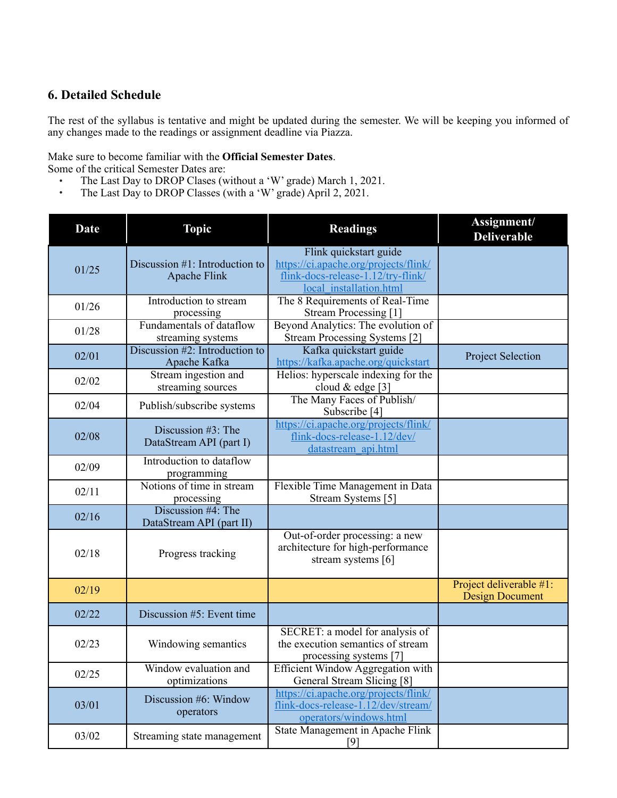## **6. Detailed Schedule**

The rest of the syllabus is tentative and might be updated during the semester. We will be keeping you informed of any changes made to the readings or assignment deadline via Piazza.

# Make sure to become familiar with the **[Official Semester Dates](https://www.bu.edu/reg/calendars/semester/)**.

Some of the critical Semester Dates are:

- The Last Day to DROP Clases (without a 'W' grade) March 1, 2021.<br>• The Last Day to DROP Classes (with a 'W' grade) April 2, 2021
- The Last Day to DROP Classes (with a 'W' grade) April 2, 2021.

| <b>Date</b> | <b>Topic</b>                                          | <b>Readings</b>                                                                                                                  | Assignment/<br><b>Deliverable</b>                 |
|-------------|-------------------------------------------------------|----------------------------------------------------------------------------------------------------------------------------------|---------------------------------------------------|
| 01/25       | Discussion #1: Introduction to<br><b>Apache Flink</b> | Flink quickstart guide<br>https://ci.apache.org/projects/flink/<br>flink-docs-release-1.12/try-flink/<br>local installation.html |                                                   |
| 01/26       | Introduction to stream<br>processing                  | The 8 Requirements of Real-Time<br>Stream Processing [1]                                                                         |                                                   |
| 01/28       | <b>Fundamentals of dataflow</b><br>streaming systems  | Beyond Analytics: The evolution of<br>Stream Processing Systems [2]                                                              |                                                   |
| 02/01       | Discussion #2: Introduction to<br>Apache Kafka        | Kafka quickstart guide<br>https://kafka.apache.org/quickstart                                                                    | <b>Project Selection</b>                          |
| 02/02       | Stream ingestion and<br>streaming sources             | Helios: hyperscale indexing for the<br>cloud & edge [3]                                                                          |                                                   |
| 02/04       | Publish/subscribe systems                             | The Many Faces of Publish/<br>Subscribe [4]                                                                                      |                                                   |
| 02/08       | Discussion #3: The<br>DataStream API (part I)         | https://ci.apache.org/projects/flink/<br>flink-docs-release-1.12/dev/<br>datastream api.html                                     |                                                   |
| 02/09       | Introduction to dataflow<br>programming               |                                                                                                                                  |                                                   |
| 02/11       | Notions of time in stream<br>processing               | Flexible Time Management in Data<br>Stream Systems [5]                                                                           |                                                   |
| 02/16       | Discussion #4: The<br>DataStream API (part II)        |                                                                                                                                  |                                                   |
| 02/18       | Progress tracking                                     | Out-of-order processing: a new<br>architecture for high-performance<br>stream systems [6]                                        |                                                   |
| 02/19       |                                                       |                                                                                                                                  | Project deliverable #1:<br><b>Design Document</b> |
| 02/22       | Discussion #5: Event time                             |                                                                                                                                  |                                                   |
| 02/23       | Windowing semantics                                   | SECRET: a model for analysis of<br>the execution semantics of stream<br>processing systems [7]                                   |                                                   |
| 02/25       | Window evaluation and<br>optimizations                | <b>Efficient Window Aggregation with</b><br>General Stream Slicing [8]                                                           |                                                   |
| 03/01       | Discussion #6: Window<br>operators                    | https://ci.apache.org/projects/flink/<br>flink-docs-release-1.12/dev/stream/<br>operators/windows.html                           |                                                   |
| 03/02       | Streaming state management                            | State Management in Apache Flink<br>[9]                                                                                          |                                                   |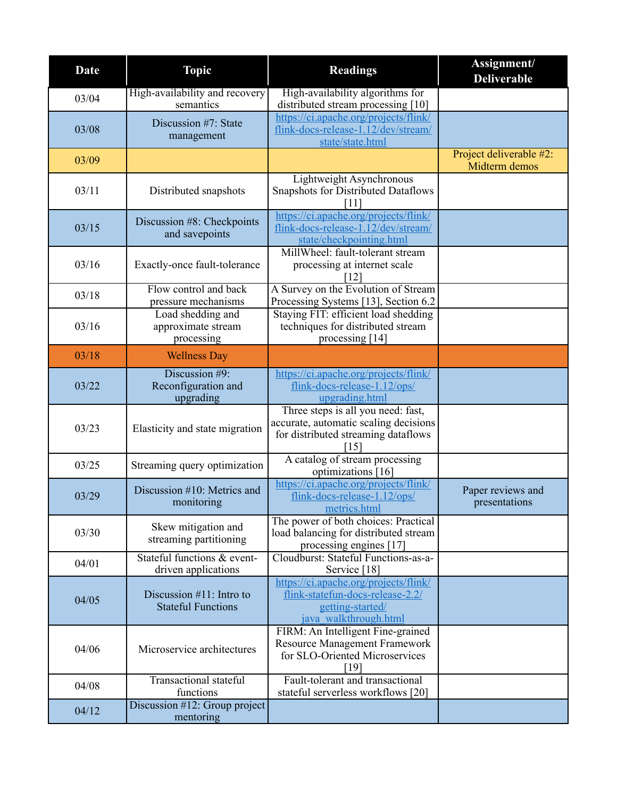| <b>Date</b> | <b>Topic</b>                                             | <b>Readings</b>                                                                                                            | Assignment/<br><b>Deliverable</b>        |
|-------------|----------------------------------------------------------|----------------------------------------------------------------------------------------------------------------------------|------------------------------------------|
| 03/04       | High-availability and recovery<br>semantics              | High-availability algorithms for<br>distributed stream processing [10]                                                     |                                          |
| 03/08       | Discussion #7: State<br>management                       | https://ci.apache.org/projects/flink/<br>flink-docs-release-1.12/dev/stream/<br>state/state.html                           |                                          |
| 03/09       |                                                          |                                                                                                                            | Project deliverable #2:<br>Midterm demos |
| 03/11       | Distributed snapshots                                    | Lightweight Asynchronous<br><b>Snapshots for Distributed Dataflows</b><br>[11]                                             |                                          |
| 03/15       | Discussion #8: Checkpoints<br>and savepoints             | https://ci.apache.org/projects/flink/<br>flink-docs-release-1.12/dev/stream/<br>state/checkpointing.html                   |                                          |
| 03/16       | Exactly-once fault-tolerance                             | MillWheel: fault-tolerant stream<br>processing at internet scale<br>12                                                     |                                          |
| 03/18       | Flow control and back<br>pressure mechanisms             | A Survey on the Evolution of Stream<br>Processing Systems [13], Section 6.2                                                |                                          |
| 03/16       | Load shedding and<br>approximate stream<br>processing    | Staying FIT: efficient load shedding<br>techniques for distributed stream<br>processing [14]                               |                                          |
| 03/18       | <b>Wellness Day</b>                                      |                                                                                                                            |                                          |
| 03/22       | Discussion #9:<br>Reconfiguration and<br>upgrading       | https://ci.apache.org/projects/flink/<br>flink-docs-release-1.12/ops/<br>upgrading.html                                    |                                          |
| 03/23       | Elasticity and state migration                           | Three steps is all you need: fast,<br>accurate, automatic scaling decisions<br>for distributed streaming dataflows<br>[15] |                                          |
| 03/25       | Streaming query optimization                             | A catalog of stream processing<br>optimizations [16]                                                                       |                                          |
| 03/29       | Discussion #10: Metrics and<br>monitoring                | https://ci.apache.org/projects/flink/<br>flink-docs-release-1.12/ops/<br>metrics.html                                      | Paper reviews and<br>presentations       |
| 03/30       | Skew mitigation and<br>streaming partitioning            | The power of both choices: Practical<br>load balancing for distributed stream<br>processing engines [17]                   |                                          |
| 04/01       | Stateful functions & event-<br>driven applications       | Cloudburst: Stateful Functions-as-a-<br>Service [18]                                                                       |                                          |
| 04/05       | Discussion $#11$ : Intro to<br><b>Stateful Functions</b> | https://ci.apache.org/projects/flink/<br>flink-statefun-docs-release-2.2/<br>getting-started/<br>java walkthrough.html     |                                          |
| 04/06       | Microservice architectures                               | FIRM: An Intelligent Fine-grained<br><b>Resource Management Framework</b><br>for SLO-Oriented Microservices<br>[19]        |                                          |
| 04/08       | <b>Transactional stateful</b><br>functions               | Fault-tolerant and transactional<br>stateful serverless workflows [20]                                                     |                                          |
| 04/12       | Discussion #12: Group project<br>mentoring               |                                                                                                                            |                                          |